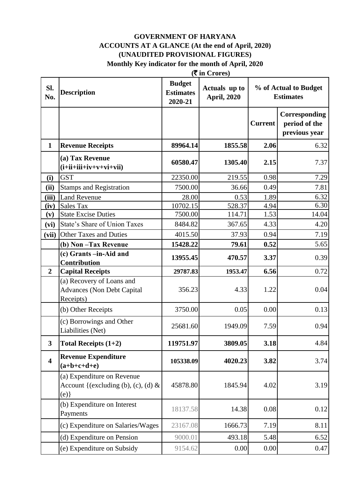#### **(**` **in Crores) GOVERNMENT OF HARYANA ACCOUNTS AT A GLANCE (At the end of April, 2020) (UNAUDITED PROVISIONAL FIGURES) Monthly Key indicator for the month of April, 2020**

| Sl.<br>No.              | <b>Description</b>                                                          | <b>Budget</b><br><b>Estimates</b><br>2020-21 | $(1 \text{ m})$<br>Actuals up to<br><b>April, 2020</b> |                | % of Actual to Budget<br><b>Estimates</b>       |
|-------------------------|-----------------------------------------------------------------------------|----------------------------------------------|--------------------------------------------------------|----------------|-------------------------------------------------|
|                         |                                                                             |                                              |                                                        | <b>Current</b> | Corresponding<br>period of the<br>previous year |
| $\mathbf{1}$            | <b>Revenue Receipts</b>                                                     | 89964.14                                     | 1855.58                                                | 2.06           | 6.32                                            |
|                         | (a) Tax Revenue<br>$(i+ii+iii+iv+v+vi+vii)$                                 | 60580.47                                     | 1305.40                                                | 2.15           | 7.37                                            |
| (i)                     | <b>GST</b>                                                                  | 22350.00                                     | 219.55                                                 | 0.98           | 7.29                                            |
| (ii)                    | <b>Stamps and Registration</b>                                              | 7500.00                                      | 36.66                                                  | 0.49           | 7.81                                            |
| (iii)                   | <b>Land Revenue</b>                                                         | 28.00                                        | 0.53                                                   | 1.89           | 6.32                                            |
| (iv)                    | <b>Sales Tax</b>                                                            | 10702.15                                     | 528.37                                                 | 4.94           | 6.30                                            |
| (v)                     | <b>State Excise Duties</b>                                                  | 7500.00                                      | 114.71                                                 | 1.53           | 14.04                                           |
| (vi)                    | State's Share of Union Taxes                                                | 8484.82                                      | 367.65                                                 | 4.33           | 4.20                                            |
| (vii)                   | <b>Other Taxes and Duties</b>                                               | 4015.50                                      | 37.93                                                  | 0.94           | 7.19                                            |
|                         | (b) Non-Tax Revenue                                                         | 15428.22                                     | 79.61                                                  | 0.52           | 5.65                                            |
|                         | (c) Grants -in-Aid and<br><b>Contribution</b>                               | 13955.45                                     | 470.57                                                 | 3.37           | 0.39                                            |
| $\overline{2}$          | <b>Capital Receipts</b>                                                     | 29787.83                                     | 1953.47                                                | 6.56           | 0.72                                            |
|                         | (a) Recovery of Loans and<br><b>Advances (Non Debt Capital</b><br>Receipts) | 356.23                                       | 4.33                                                   | 1.22           | 0.04                                            |
|                         | (b) Other Receipts                                                          | 3750.00                                      | 0.05                                                   | 0.00           | 0.13                                            |
|                         | (c) Borrowings and Other<br>Liabilities (Net)                               | 25681.60                                     | 1949.09                                                | 7.59           | 0.94                                            |
| $\mathbf{3}$            | Total Receipts $(1+2)$                                                      | 119751.97                                    | 3809.05                                                | 3.18           | 4.84                                            |
| $\overline{\mathbf{4}}$ | <b>Revenue Expenditure</b><br>$(a+b+c+d+e)$                                 | 105338.09                                    | 4020.23                                                | 3.82           | 3.74                                            |
|                         | (a) Expenditure on Revenue<br>Account {(excluding (b), (c), (d) $\&$<br>(e) | 45878.80                                     | 1845.94                                                | 4.02           | 3.19                                            |
|                         | (b) Expenditure on Interest<br>Payments                                     | 18137.58                                     | 14.38                                                  | 0.08           | 0.12                                            |
|                         | (c) Expenditure on Salaries/Wages                                           | 23167.08                                     | 1666.73                                                | 7.19           | 8.11                                            |
|                         | (d) Expenditure on Pension                                                  | 9000.01                                      | 493.18                                                 | 5.48           | 6.52                                            |
|                         | (e) Expenditure on Subsidy                                                  | 9154.62                                      | 0.00                                                   | 0.00           | 0.47                                            |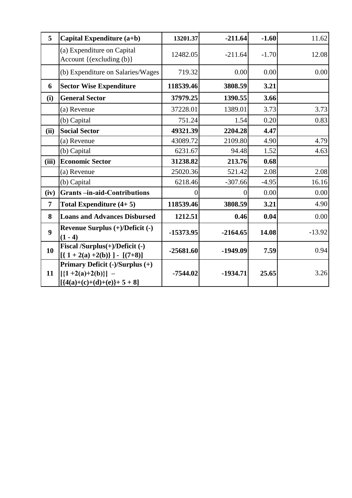| 5                | Capital Expenditure (a+b)                                                              | 13201.37    | $-211.64$  | $-1.60$ | 11.62    |
|------------------|----------------------------------------------------------------------------------------|-------------|------------|---------|----------|
|                  | (a) Expenditure on Capital<br>Account {(excluding (b)}                                 | 12482.05    | $-211.64$  | $-1.70$ | 12.08    |
|                  | (b) Expenditure on Salaries/Wages                                                      | 719.32      | 0.00       | 0.00    | 0.00     |
| 6                | <b>Sector Wise Expenditure</b>                                                         | 118539.46   | 3808.59    | 3.21    |          |
| (i)              | <b>General Sector</b>                                                                  | 37979.25    | 1390.55    | 3.66    |          |
|                  | (a) Revenue                                                                            | 37228.01    | 1389.01    | 3.73    | 3.73     |
|                  | (b) Capital                                                                            | 751.24      | 1.54       | 0.20    | 0.83     |
| (ii)             | <b>Social Sector</b>                                                                   | 49321.39    | 2204.28    | 4.47    |          |
|                  | (a) Revenue                                                                            | 43089.72    | 2109.80    | 4.90    | 4.79     |
|                  | (b) Capital                                                                            | 6231.67     | 94.48      | 1.52    | 4.63     |
| (iii)            | <b>Economic Sector</b>                                                                 | 31238.82    | 213.76     | 0.68    |          |
|                  | (a) Revenue                                                                            | 25020.36    | 521.42     | 2.08    | 2.08     |
|                  | (b) Capital                                                                            | 6218.46     | $-307.66$  | $-4.95$ | 16.16    |
| (iv)             | <b>Grants-in-aid-Contributions</b>                                                     | $\theta$    | $\theta$   | 0.00    | 0.00     |
| 7                | Total Expenditure $(4+5)$                                                              | 118539.46   | 3808.59    | 3.21    | 4.90     |
| 8                | <b>Loans and Advances Disbursed</b>                                                    | 1212.51     | 0.46       | 0.04    | 0.00     |
| $\boldsymbol{9}$ | Revenue Surplus (+)/Deficit (-)<br>$(1 - 4)$                                           | -15373.95   | $-2164.65$ | 14.08   | $-13.92$ |
| 10               | Fiscal /Surplus(+)/Deficit (-)<br>$[{1 + 2(a) +2(b)}] - [(7+8)]$                       | $-25681.60$ | $-1949.09$ | 7.59    | 0.94     |
| 11               | Primary Deficit (-)/Surplus (+)<br>$[{1+2(a)+2(b)}]$ –<br>$[ {4(a)+(c)+(d)+(e)}+5+8 ]$ | $-7544.02$  | $-1934.71$ | 25.65   | 3.26     |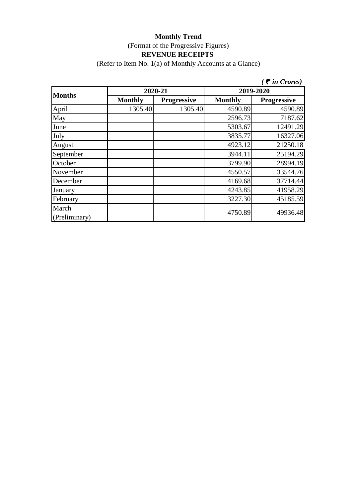(Refer to Item No. 1(a) of Monthly Accounts at a Glance)

|                        |                |                    |                | $\zeta$ $\bar{\zeta}$ in Crores) |  |
|------------------------|----------------|--------------------|----------------|----------------------------------|--|
|                        | 2020-21        |                    | 2019-2020      |                                  |  |
| <b>Months</b>          | <b>Monthly</b> | <b>Progressive</b> | <b>Monthly</b> | <b>Progressive</b>               |  |
| April                  | 1305.40        | 1305.40            | 4590.89        | 4590.89                          |  |
| May                    |                |                    | 2596.73        | 7187.62                          |  |
| June                   |                |                    | 5303.67        | 12491.29                         |  |
| July                   |                |                    | 3835.77        | 16327.06                         |  |
| August                 |                |                    | 4923.12        | 21250.18                         |  |
| September              |                |                    | 3944.11        | 25194.29                         |  |
| October                |                |                    | 3799.90        | 28994.19                         |  |
| November               |                |                    | 4550.57        | 33544.76                         |  |
| December               |                |                    | 4169.68        | 37714.44                         |  |
| January                |                |                    | 4243.85        | 41958.29                         |  |
| February               |                |                    | 3227.30        | 45185.59                         |  |
| March<br>(Preliminary) |                |                    | 4750.89        | 49936.48                         |  |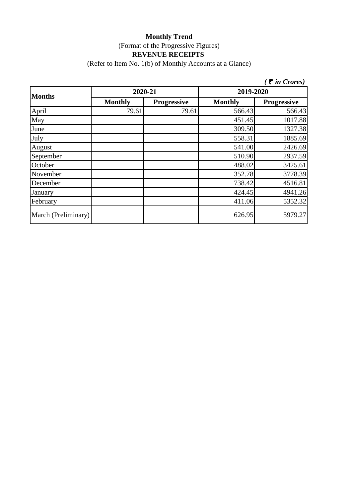(Refer to Item No. 1(b) of Monthly Accounts at a Glance)

|                     |                |                    |                | $\zeta$ $\bar{\zeta}$ in Crores) |  |
|---------------------|----------------|--------------------|----------------|----------------------------------|--|
| <b>Months</b>       | 2020-21        |                    | 2019-2020      |                                  |  |
|                     | <b>Monthly</b> | <b>Progressive</b> | <b>Monthly</b> | <b>Progressive</b>               |  |
| April               | 79.61          | 79.61              | 566.43         | 566.43                           |  |
| May                 |                |                    | 451.45         | 1017.88                          |  |
| June                |                |                    | 309.50         | 1327.38                          |  |
| July                |                |                    | 558.31         | 1885.69                          |  |
| August              |                |                    | 541.00         | 2426.69                          |  |
| September           |                |                    | 510.90         | 2937.59                          |  |
| October             |                |                    | 488.02         | 3425.61                          |  |
| November            |                |                    | 352.78         | 3778.39                          |  |
| December            |                |                    | 738.42         | 4516.81                          |  |
| January             |                |                    | 424.45         | 4941.26                          |  |
| February            |                |                    | 411.06         | 5352.32                          |  |
| March (Preliminary) |                |                    | 626.95         | 5979.27                          |  |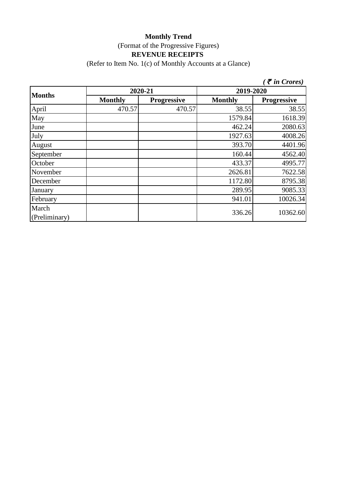(Refer to Item No. 1(c) of Monthly Accounts at a Glance)

|                        |                |                    |                | $\bar{\tau}$ in Crores) |  |
|------------------------|----------------|--------------------|----------------|-------------------------|--|
|                        | 2020-21        |                    | 2019-2020      |                         |  |
| <b>Months</b>          | <b>Monthly</b> | <b>Progressive</b> | <b>Monthly</b> | <b>Progressive</b>      |  |
| April                  | 470.57         | 470.57             | 38.55          | 38.55                   |  |
| May                    |                |                    | 1579.84        | 1618.39                 |  |
| June                   |                |                    | 462.24         | 2080.63                 |  |
| July                   |                |                    | 1927.63        | 4008.26                 |  |
| August                 |                |                    | 393.70         | 4401.96                 |  |
| September              |                |                    | 160.44         | 4562.40                 |  |
| October                |                |                    | 433.37         | 4995.77                 |  |
| November               |                |                    | 2626.81        | 7622.58                 |  |
| December               |                |                    | 1172.80        | 8795.38                 |  |
| January                |                |                    | 289.95         | 9085.33                 |  |
| February               |                |                    | 941.01         | 10026.34                |  |
| March<br>(Preliminary) |                |                    | 336.26         | 10362.60                |  |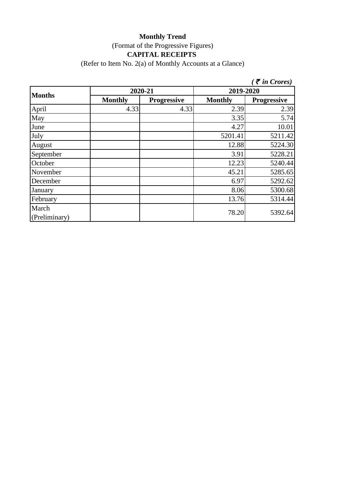# **Monthly Trend** (Format of the Progressive Figures) **CAPITAL RECEIPTS**

(Refer to Item No. 2(a) of Monthly Accounts at a Glance)

|                        |                |                    |                | $\zeta$ $\bar{\zeta}$ in Crores) |
|------------------------|----------------|--------------------|----------------|----------------------------------|
| <b>Months</b>          | 2020-21        |                    | 2019-2020      |                                  |
|                        | <b>Monthly</b> | <b>Progressive</b> | <b>Monthly</b> | <b>Progressive</b>               |
| April                  | 4.33           | 4.33               | 2.39           | 2.39                             |
| May                    |                |                    | 3.35           | 5.74                             |
| June                   |                |                    | 4.27           | 10.01                            |
| July                   |                |                    | 5201.41        | 5211.42                          |
| August                 |                |                    | 12.88          | 5224.30                          |
| September              |                |                    | 3.91           | 5228.21                          |
| October                |                |                    | 12.23          | 5240.44                          |
| November               |                |                    | 45.21          | 5285.65                          |
| December               |                |                    | 6.97           | 5292.62                          |
| January                |                |                    | 8.06           | 5300.68                          |
| February               |                |                    | 13.76          | 5314.44                          |
| March<br>(Preliminary) |                |                    | 78.20          | 5392.64                          |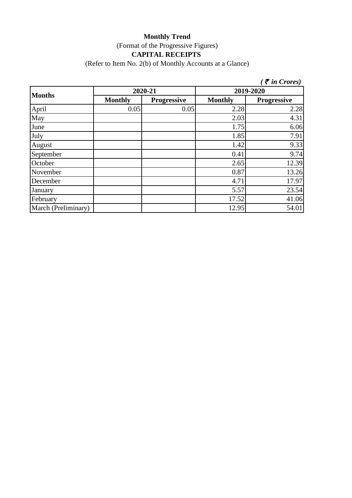# **Monthly Trend** (Format of the Progressive Figures) **CAPITAL RECEIPTS**

(Refer to Item No. 2(b) of Monthly Accounts at a Glance)

|                     |                |                    |                | $\zeta$ $\bar{\zeta}$ in Crores) |
|---------------------|----------------|--------------------|----------------|----------------------------------|
| <b>Months</b>       | 2020-21        |                    |                | 2019-2020                        |
|                     | <b>Monthly</b> | <b>Progressive</b> | <b>Monthly</b> | <b>Progressive</b>               |
| April               | 0.05           | 0.05               | 2.28           | 2.28                             |
| May                 |                |                    | 2.03           | 4.31                             |
| June                |                |                    | 1.75           | 6.06                             |
| July                |                |                    | 1.85           | 7.91                             |
| August              |                |                    | 1.42           | 9.33                             |
| September           |                |                    | 0.41           | 9.74                             |
| October             |                |                    | 2.65           | 12.39                            |
| November            |                |                    | 0.87           | 13.26                            |
| December            |                |                    | 4.71           | 17.97                            |
| January             |                |                    | 5.57           | 23.54                            |
| February            |                |                    | 17.52          | 41.06                            |
| March (Preliminary) |                |                    | 12.95          | 54.01                            |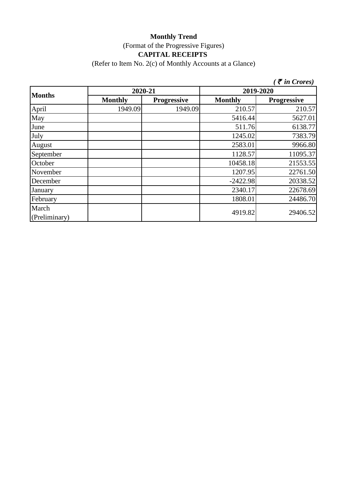# **Monthly Trend** (Format of the Progressive Figures) **CAPITAL RECEIPTS**

(Refer to Item No. 2(c) of Monthly Accounts at a Glance)

|                        |                |                    |                | $\tilde{\tau}$ in Crores) |  |
|------------------------|----------------|--------------------|----------------|---------------------------|--|
|                        | 2020-21        |                    | 2019-2020      |                           |  |
| <b>Months</b>          | <b>Monthly</b> | <b>Progressive</b> | <b>Monthly</b> | <b>Progressive</b>        |  |
| April                  | 1949.09        | 1949.09            | 210.57         | 210.57                    |  |
| May                    |                |                    | 5416.44        | 5627.01                   |  |
| June                   |                |                    | 511.76         | 6138.77                   |  |
| July                   |                |                    | 1245.02        | 7383.79                   |  |
| August                 |                |                    | 2583.01        | 9966.80                   |  |
| September              |                |                    | 1128.57        | 11095.37                  |  |
| October                |                |                    | 10458.18       | 21553.55                  |  |
| November               |                |                    | 1207.95        | 22761.50                  |  |
| December               |                |                    | $-2422.98$     | 20338.52                  |  |
| January                |                |                    | 2340.17        | 22678.69                  |  |
| February               |                |                    | 1808.01        | 24486.70                  |  |
| March<br>(Preliminary) |                |                    | 4919.82        | 29406.52                  |  |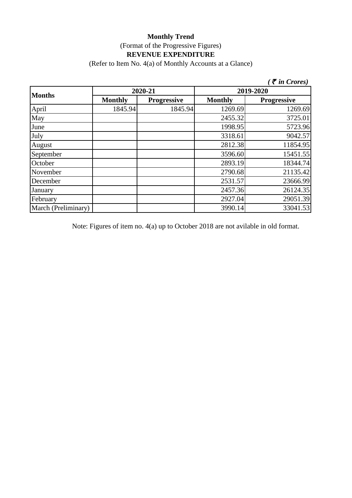(Refer to Item No. 4(a) of Monthly Accounts at a Glance)

|                     |                |                    |                | $\zeta$ $\bar{\zeta}$ in Crores) |  |
|---------------------|----------------|--------------------|----------------|----------------------------------|--|
| <b>Months</b>       |                | 2020-21            | 2019-2020      |                                  |  |
|                     | <b>Monthly</b> | <b>Progressive</b> | <b>Monthly</b> | <b>Progressive</b>               |  |
| April               | 1845.94        | 1845.94            | 1269.69        | 1269.69                          |  |
| May                 |                |                    | 2455.32        | 3725.01                          |  |
| June                |                |                    | 1998.95        | 5723.96                          |  |
| July                |                |                    | 3318.61        | 9042.57                          |  |
| August              |                |                    | 2812.38        | 11854.95                         |  |
| September           |                |                    | 3596.60        | 15451.55                         |  |
| October             |                |                    | 2893.19        | 18344.74                         |  |
| November            |                |                    | 2790.68        | 21135.42                         |  |
| December            |                |                    | 2531.57        | 23666.99                         |  |
| January             |                |                    | 2457.36        | 26124.35                         |  |
| February            |                |                    | 2927.04        | 29051.39                         |  |
| March (Preliminary) |                |                    | 3990.14        | 33041.53                         |  |

Note: Figures of item no. 4(a) up to October 2018 are not avilable in old format.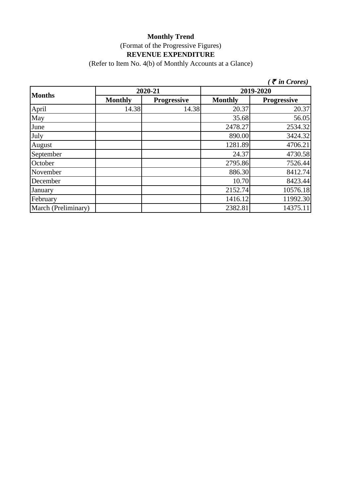(Refer to Item No. 4(b) of Monthly Accounts at a Glance)

|                     |                |                    |                | $\zeta$ $\bar{\zeta}$ in Crores) |
|---------------------|----------------|--------------------|----------------|----------------------------------|
| <b>Months</b>       |                | 2020-21            | 2019-2020      |                                  |
|                     | <b>Monthly</b> | <b>Progressive</b> | <b>Monthly</b> | <b>Progressive</b>               |
| April               | 14.38          | 14.38              | 20.37          | 20.37                            |
| May                 |                |                    | 35.68          | 56.05                            |
| June                |                |                    | 2478.27        | 2534.32                          |
| July                |                |                    | 890.00         | 3424.32                          |
| August              |                |                    | 1281.89        | 4706.21                          |
| September           |                |                    | 24.37          | 4730.58                          |
| October             |                |                    | 2795.86        | 7526.44                          |
| November            |                |                    | 886.30         | 8412.74                          |
| December            |                |                    | 10.70          | 8423.44                          |
| January             |                |                    | 2152.74        | 10576.18                         |
| February            |                |                    | 1416.12        | 11992.30                         |
| March (Preliminary) |                |                    | 2382.81        | 14375.11                         |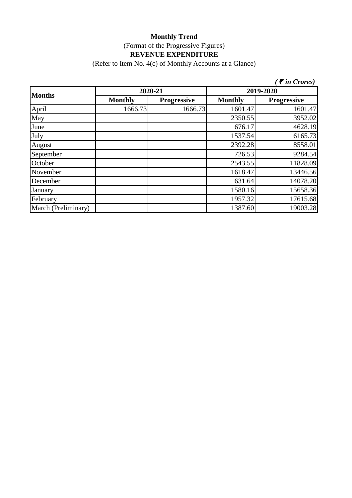(Refer to Item No. 4(c) of Monthly Accounts at a Glance)

|                     |                |                    |                | $\zeta$ $\bar{\zeta}$ in Crores) |
|---------------------|----------------|--------------------|----------------|----------------------------------|
| <b>Months</b>       | 2020-21        |                    | 2019-2020      |                                  |
|                     | <b>Monthly</b> | <b>Progressive</b> | <b>Monthly</b> | <b>Progressive</b>               |
| April               | 1666.73        | 1666.73            | 1601.47        | 1601.47                          |
| May                 |                |                    | 2350.55        | 3952.02                          |
| June                |                |                    | 676.17         | 4628.19                          |
| July                |                |                    | 1537.54        | 6165.73                          |
| August              |                |                    | 2392.28        | 8558.01                          |
| September           |                |                    | 726.53         | 9284.54                          |
| October             |                |                    | 2543.55        | 11828.09                         |
| November            |                |                    | 1618.47        | 13446.56                         |
| December            |                |                    | 631.64         | 14078.20                         |
| January             |                |                    | 1580.16        | 15658.36                         |
| February            |                |                    | 1957.32        | 17615.68                         |
| March (Preliminary) |                |                    | 1387.60        | 19003.28                         |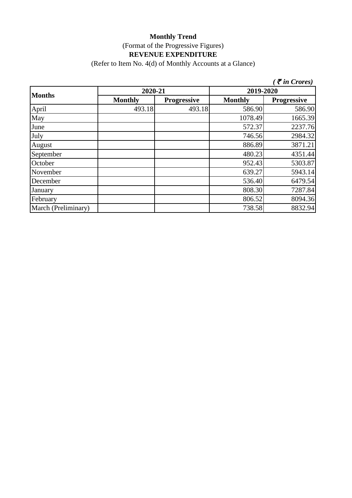(Refer to Item No. 4(d) of Monthly Accounts at a Glance)

|                     |                |                    |                | $\mathcal F$ in Crores) |
|---------------------|----------------|--------------------|----------------|-------------------------|
| <b>Months</b>       | 2020-21        |                    | 2019-2020      |                         |
|                     | <b>Monthly</b> | <b>Progressive</b> | <b>Monthly</b> | <b>Progressive</b>      |
| April               | 493.18         | 493.18             | 586.90         | 586.90                  |
| May                 |                |                    | 1078.49        | 1665.39                 |
| June                |                |                    | 572.37         | 2237.76                 |
| July                |                |                    | 746.56         | 2984.32                 |
| August              |                |                    | 886.89         | 3871.21                 |
| September           |                |                    | 480.23         | 4351.44                 |
| October             |                |                    | 952.43         | 5303.87                 |
| November            |                |                    | 639.27         | 5943.14                 |
| December            |                |                    | 536.40         | 6479.54                 |
| January             |                |                    | 808.30         | 7287.84                 |
| February            |                |                    | 806.52         | 8094.36                 |
| March (Preliminary) |                |                    | 738.58         | 8832.94                 |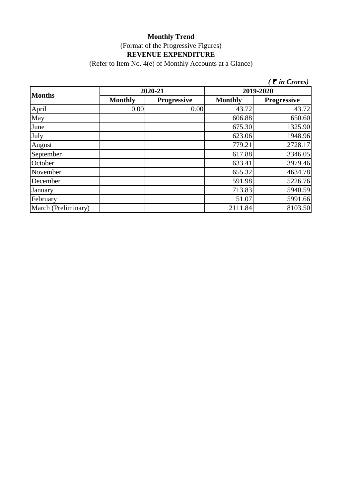(Refer to Item No. 4(e) of Monthly Accounts at a Glance)

|                     |                |                    |                | $\zeta$ $\bar{\zeta}$ in Crores) |
|---------------------|----------------|--------------------|----------------|----------------------------------|
| <b>Months</b>       | 2020-21        |                    | 2019-2020      |                                  |
|                     | <b>Monthly</b> | <b>Progressive</b> | <b>Monthly</b> | <b>Progressive</b>               |
| April               | 0.00           | 0.00               | 43.72          | 43.72                            |
| May                 |                |                    | 606.88         | 650.60                           |
| June                |                |                    | 675.30         | 1325.90                          |
| July                |                |                    | 623.06         | 1948.96                          |
| August              |                |                    | 779.21         | 2728.17                          |
| September           |                |                    | 617.88         | 3346.05                          |
| October             |                |                    | 633.41         | 3979.46                          |
| November            |                |                    | 655.32         | 4634.78                          |
| December            |                |                    | 591.98         | 5226.76                          |
| January             |                |                    | 713.83         | 5940.59                          |
| February            |                |                    | 51.07          | 5991.66                          |
| March (Preliminary) |                |                    | 2111.84        | 8103.50                          |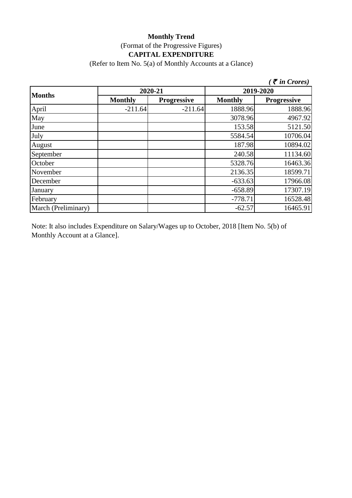# **Monthly Trend** (Format of the Progressive Figures) **CAPITAL EXPENDITURE**

(Refer to Item No. 5(a) of Monthly Accounts at a Glance)

|                     |                |                    |                | $\zeta$ <i>(† in Crores)</i> |
|---------------------|----------------|--------------------|----------------|------------------------------|
| <b>Months</b>       | 2020-21        |                    | 2019-2020      |                              |
|                     | <b>Monthly</b> | <b>Progressive</b> | <b>Monthly</b> | <b>Progressive</b>           |
| April               | $-211.64$      | $-211.64$          | 1888.96        | 1888.96                      |
| May                 |                |                    | 3078.96        | 4967.92                      |
| June                |                |                    | 153.58         | 5121.50                      |
| July                |                |                    | 5584.54        | 10706.04                     |
| August              |                |                    | 187.98         | 10894.02                     |
| September           |                |                    | 240.58         | 11134.60                     |
| October             |                |                    | 5328.76        | 16463.36                     |
| November            |                |                    | 2136.35        | 18599.71                     |
| December            |                |                    | $-633.63$      | 17966.08                     |
| January             |                |                    | $-658.89$      | 17307.19                     |
| February            |                |                    | $-778.71$      | 16528.48                     |
| March (Preliminary) |                |                    | $-62.57$       | 16465.91                     |

Note: It also includes Expenditure on Salary/Wages up to October, 2018 [Item No. 5(b) of Monthly Account at a Glance].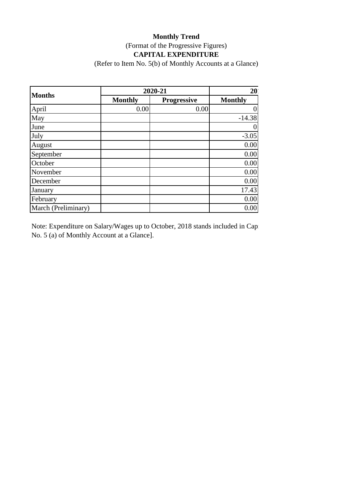# **Monthly Trend** (Format of the Progressive Figures) **CAPITAL EXPENDITURE**

(Refer to Item No. 5(b) of Monthly Accounts at a Glance)

|                     | 2020-21        | 20 <sup>°</sup>    |                |
|---------------------|----------------|--------------------|----------------|
| <b>Months</b>       | <b>Monthly</b> | <b>Progressive</b> | <b>Monthly</b> |
| April               | 0.00           | 0.00               |                |
| May                 |                |                    | $-14.38$       |
| June                |                |                    |                |
| July                |                |                    | $-3.05$        |
| August              |                |                    | 0.00           |
| September           |                |                    | 0.00           |
| October             |                |                    | 0.00           |
| November            |                |                    | 0.00           |
| December            |                |                    | 0.00           |
| January             |                |                    | 17.43          |
| February            |                |                    | 0.00           |
| March (Preliminary) |                |                    | 0.00           |

Note: Expenditure on Salary/Wages up to October, 2018 stands included in Capital Expenditure in Capital Expenditure  $[16, 16]$ No. 5 (a) of Monthly Account at a Glance].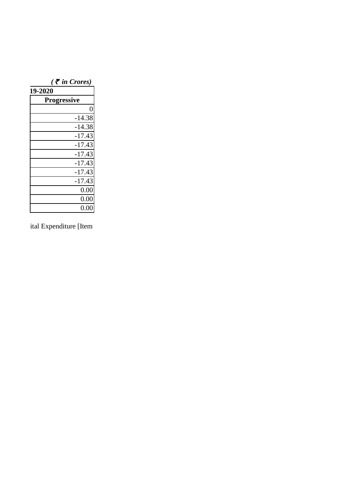| $($ $\bar{\bar{\tau}}$ in Crores) |
|-----------------------------------|
| 19-2020                           |
| <b>Progressive</b>                |
| 0                                 |
| $-14.38$                          |
| $-14.38$                          |
| $-17.43$                          |
| $-17.43$                          |
| $-17.43$                          |
| $-17.43$                          |
| $-17.43$                          |
| $-17.43$                          |
| 0.00                              |
| 0.00                              |
| 0.00                              |

ital Expenditure [Item